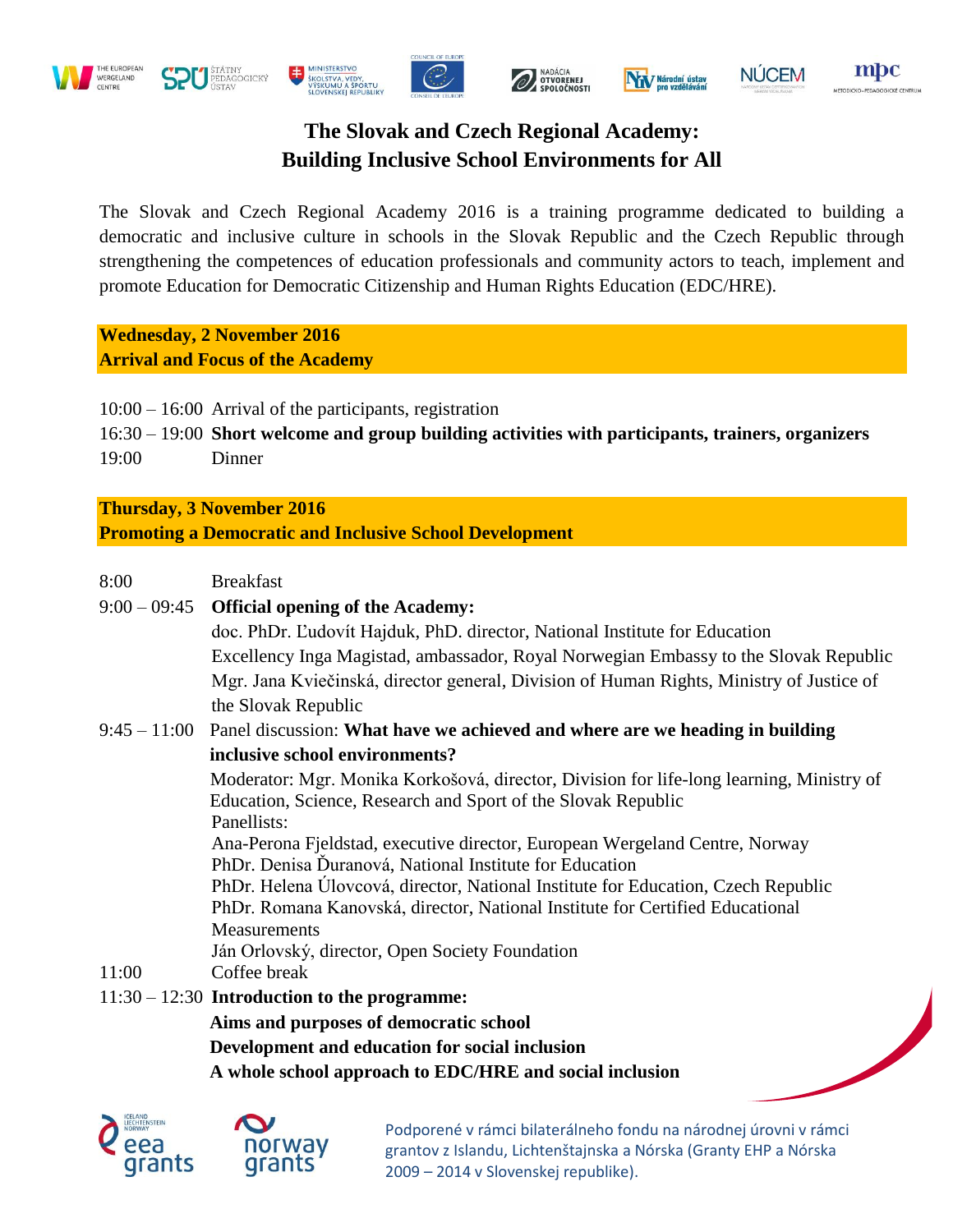









## **NÚCEM**

mpc

# **The Slovak and Czech Regional Academy: Building Inclusive School Environments for All**

The Slovak and Czech Regional Academy 2016 is a training programme dedicated to building a democratic and inclusive culture in schools in the Slovak Republic and the Czech Republic through strengthening the competences of education professionals and community actors to teach, implement and promote Education for Democratic Citizenship and Human Rights Education (EDC/HRE).

**Wednesday, 2 November 2016 Arrival and Focus of the Academy**

10:00 – 16:00 Arrival of the participants, registration

- 16:30 19:00 **Short welcome and group building activities with participants, trainers, organizers**
- 19:00 Dinner

**Thursday, 3 November 2016**

**Promoting a Democratic and Inclusive School Development**

| 8:00  | <b>Breakfast</b>                                                                            |
|-------|---------------------------------------------------------------------------------------------|
|       | 9:00 - 09:45 Official opening of the Academy:                                               |
|       | doc. PhDr. Ľudovít Hajduk, PhD. director, National Institute for Education                  |
|       | Excellency Inga Magistad, ambassador, Royal Norwegian Embassy to the Slovak Republic        |
|       | Mgr. Jana Kviečinská, director general, Division of Human Rights, Ministry of Justice of    |
|       | the Slovak Republic                                                                         |
|       | $9:45 - 11:00$ Panel discussion: What have we achieved and where are we heading in building |
|       | inclusive school environments?                                                              |
|       | Moderator: Mgr. Monika Korkošová, director, Division for life-long learning, Ministry of    |
|       | Education, Science, Research and Sport of the Slovak Republic                               |
|       | Panellists:                                                                                 |
|       | Ana-Perona Fjeldstad, executive director, European Wergeland Centre, Norway                 |
|       | PhDr. Denisa Duranová, National Institute for Education                                     |
|       | PhDr. Helena Úlovcová, director, National Institute for Education, Czech Republic           |
|       | PhDr. Romana Kanovská, director, National Institute for Certified Educational               |
|       | <b>Measurements</b>                                                                         |
|       | Ján Orlovský, director, Open Society Foundation                                             |
| 11:00 | Coffee break                                                                                |
|       | $11:30 - 12:30$ Introduction to the programme:                                              |
|       | Aims and purposes of democratic school                                                      |
|       | Development and education for social inclusion                                              |
|       | A whole school approach to EDC/HRE and social inclusion                                     |



Podporené v rámci bilaterálneho fondu na národnej úrovni v rámci grantov z Islandu, Lichtenštajnska a Nórska (Granty EHP a Nórska 2009 – 2014 v Slovenskej republike).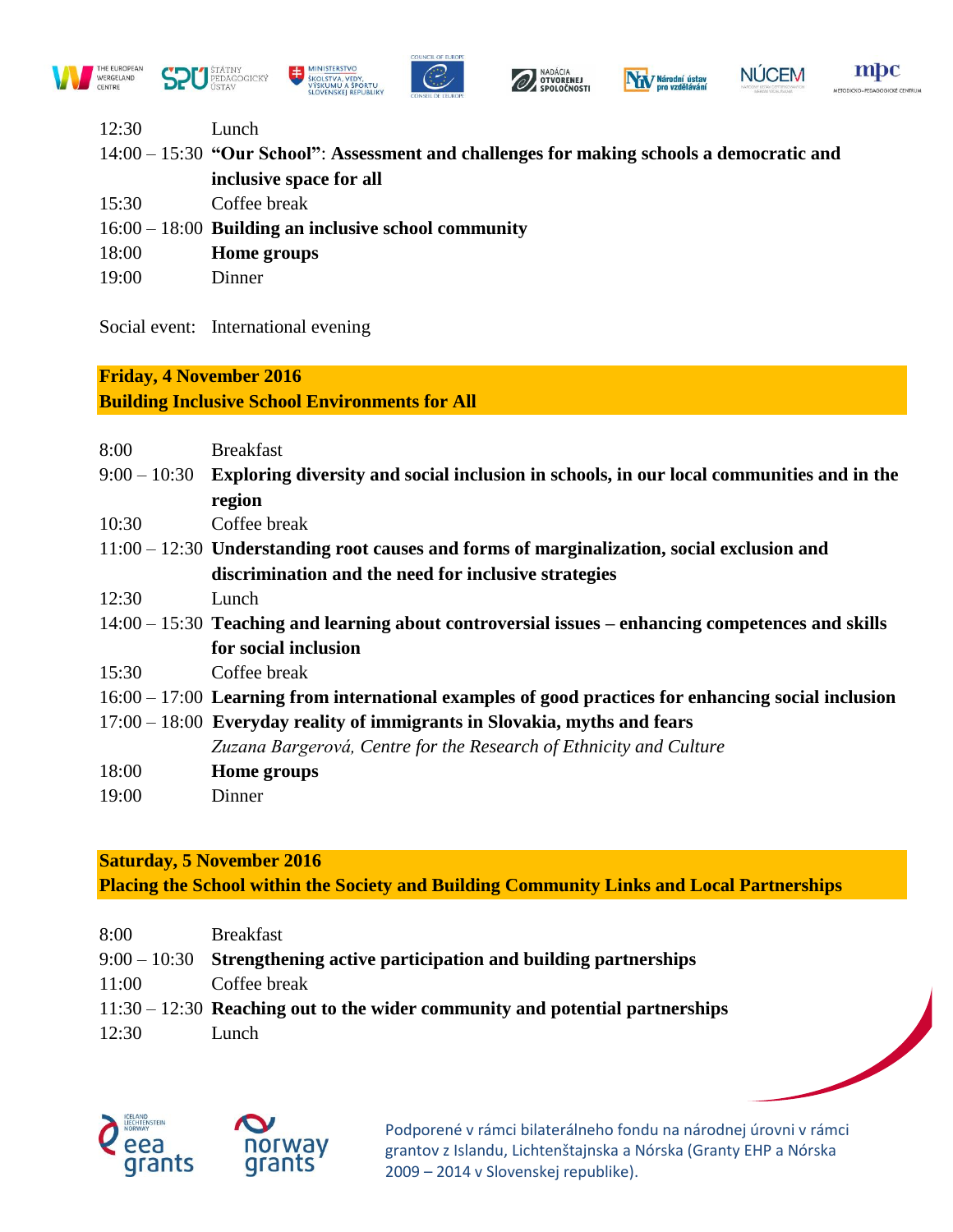





mpc

- 12:30 Lunch
- 14:00 15:30 **"Our School"**: **Assessment and challenges for making schools a democratic and inclusive space for all**
- 15:30 Coffee break
- 16:00 18:00 **Building an inclusive school community**
- 18:00 **Home groups**
- 19:00 Dinner

Social event: International evening

## **Friday, 4 November 2016**

### **Building Inclusive School Environments for All**

| 8:00  | <b>Breakfast</b>                                                                                      |
|-------|-------------------------------------------------------------------------------------------------------|
|       | $9:00-10:30$ Exploring diversity and social inclusion in schools, in our local communities and in the |
|       | region                                                                                                |
| 10:30 | Coffee break                                                                                          |
|       | $11:00 - 12:30$ Understanding root causes and forms of marginalization, social exclusion and          |
|       | discrimination and the need for inclusive strategies                                                  |
| 12:30 | Lunch                                                                                                 |
|       | $14:00-15:30$ Teaching and learning about controversial issues – enhancing competences and skills     |
|       | for social inclusion                                                                                  |
| 15:30 | Coffee break                                                                                          |
|       | $16:00 - 17:00$ Learning from international examples of good practices for enhancing social inclusion |
|       | $17:00 - 18:00$ Everyday reality of immigrants in Slovakia, myths and fears                           |
|       | Zuzana Bargerová, Centre for the Research of Ethnicity and Culture                                    |
| 18:00 | Home groups                                                                                           |
| 19:00 | Dinner                                                                                                |

**Saturday, 5 November 2016 Placing the School within the Society and Building Community Links and Local Partnerships**

| 8:00  | <b>Breakfast</b>                                                               |
|-------|--------------------------------------------------------------------------------|
|       | $9:00-10:30$ Strengthening active participation and building partnerships      |
| 11:00 | Coffee break                                                                   |
|       | $11:30 - 12:30$ Reaching out to the wider community and potential partnerships |
| 12:30 | Lunch                                                                          |



Podporené v rámci bilaterálneho fondu na národnej úrovni v rámci grantov z Islandu, Lichtenštajnska a Nórska (Granty EHP a Nórska 2009 – 2014 v Slovenskej republike).